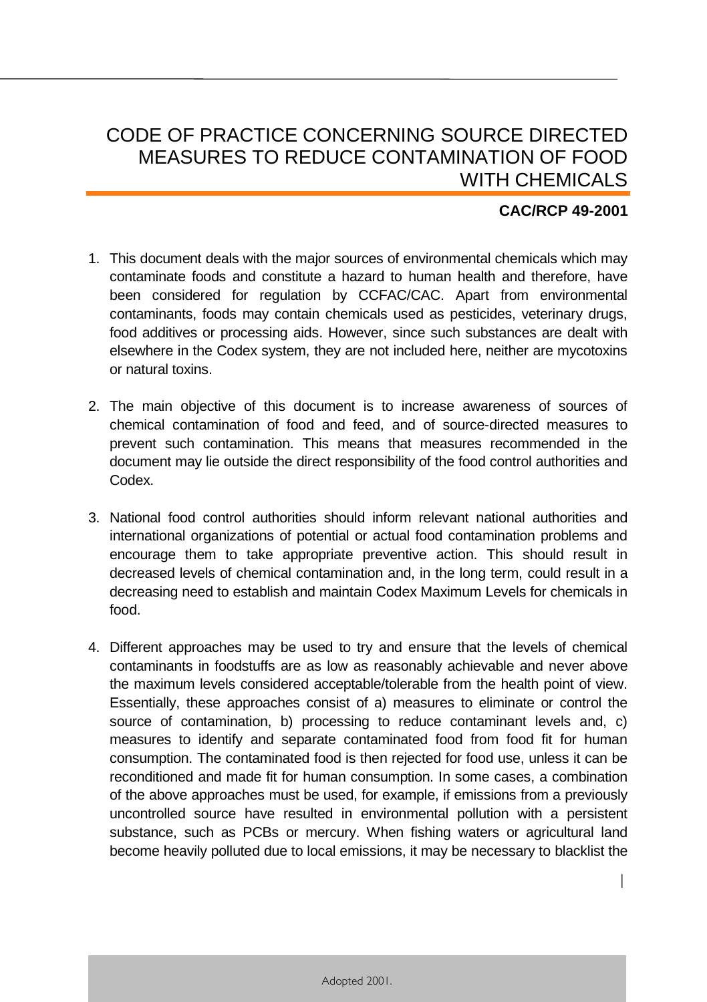## CODE OF PRACTICE CONCERNING SOURCE DIRECTED MEASURES TO REDUCE CONTAMINATION OF FOOD WITH CHEMICALS

## **CAC/RCP 49-2001**

- 1. This document deals with the major sources of environmental chemicals which may contaminate foods and constitute a hazard to human health and therefore, have been considered for regulation by CCFAC/CAC. Apart from environmental contaminants, foods may contain chemicals used as pesticides, veterinary drugs, food additives or processing aids. However, since such substances are dealt with elsewhere in the Codex system, they are not included here, neither are mycotoxins or natural toxins.
- 2. The main objective of this document is to increase awareness of sources of chemical contamination of food and feed, and of source-directed measures to prevent such contamination. This means that measures recommended in the document may lie outside the direct responsibility of the food control authorities and Codex.
- 3. National food control authorities should inform relevant national authorities and international organizations of potential or actual food contamination problems and encourage them to take appropriate preventive action. This should result in decreased levels of chemical contamination and, in the long term, could result in a decreasing need to establish and maintain Codex Maximum Levels for chemicals in food.
- 4. Different approaches may be used to try and ensure that the levels of chemical contaminants in foodstuffs are as low as reasonably achievable and never above the maximum levels considered acceptable/tolerable from the health point of view. Essentially, these approaches consist of a) measures to eliminate or control the source of contamination, b) processing to reduce contaminant levels and, c) measures to identify and separate contaminated food from food fit for human consumption. The contaminated food is then rejected for food use, unless it can be reconditioned and made fit for human consumption. In some cases, a combination of the above approaches must be used, for example, if emissions from a previously uncontrolled source have resulted in environmental pollution with a persistent substance, such as PCBs or mercury. When fishing waters or agricultural land become heavily polluted due to local emissions, it may be necessary to blacklist the

1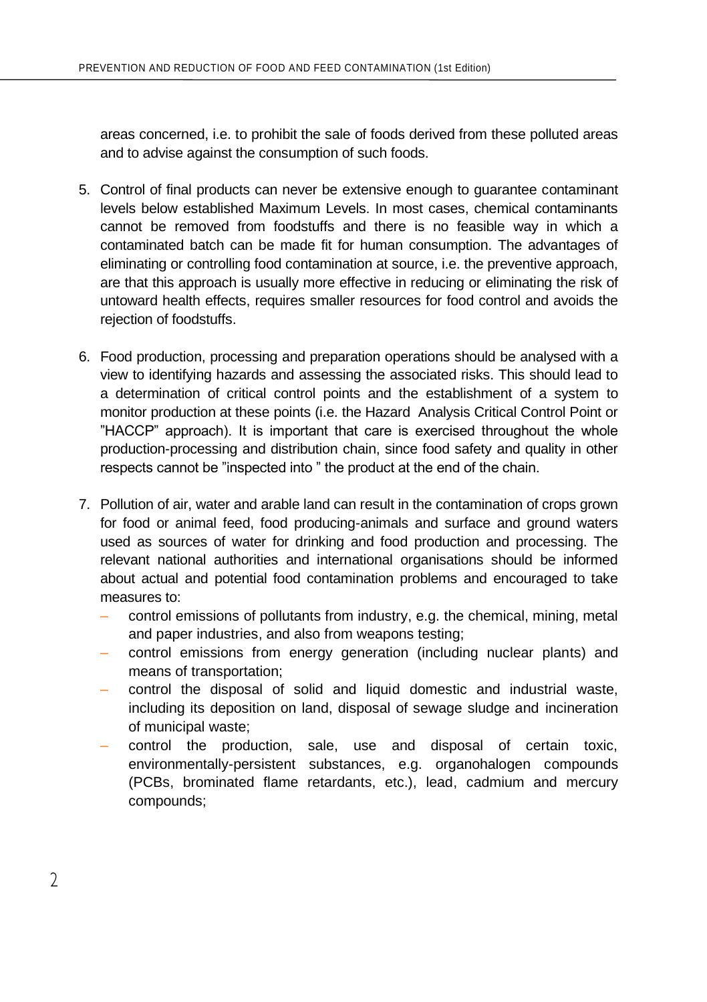areas concerned, i.e. to prohibit the sale of foods derived from these polluted areas and to advise against the consumption of such foods.

- 5. Control of final products can never be extensive enough to guarantee contaminant levels below established Maximum Levels. In most cases, chemical contaminants cannot be removed from foodstuffs and there is no feasible way in which a contaminated batch can be made fit for human consumption. The advantages of eliminating or controlling food contamination at source, i.e. the preventive approach, are that this approach is usually more effective in reducing or eliminating the risk of untoward health effects, requires smaller resources for food control and avoids the rejection of foodstuffs.
- 6. Food production, processing and preparation operations should be analysed with a view to identifying hazards and assessing the associated risks. This should lead to a determination of critical control points and the establishment of a system to monitor production at these points (i.e. the Hazard Analysis Critical Control Point or "HACCP" approach). It is important that care is exercised throughout the whole production-processing and distribution chain, since food safety and quality in other respects cannot be "inspected into " the product at the end of the chain.
- 7. Pollution of air, water and arable land can result in the contamination of crops grown for food or animal feed, food producing-animals and surface and ground waters used as sources of water for drinking and food production and processing. The relevant national authorities and international organisations should be informed about actual and potential food contamination problems and encouraged to take measures to:
	- control emissions of pollutants from industry, e.g. the chemical, mining, metal and paper industries, and also from weapons testing;
	- control emissions from energy generation (including nuclear plants) and means of transportation;
	- control the disposal of solid and liquid domestic and industrial waste, including its deposition on land, disposal of sewage sludge and incineration of municipal waste;
	- control the production, sale, use and disposal of certain toxic, environmentally-persistent substances, e.g. organohalogen compounds (PCBs, brominated flame retardants, etc.), lead, cadmium and mercury compounds;